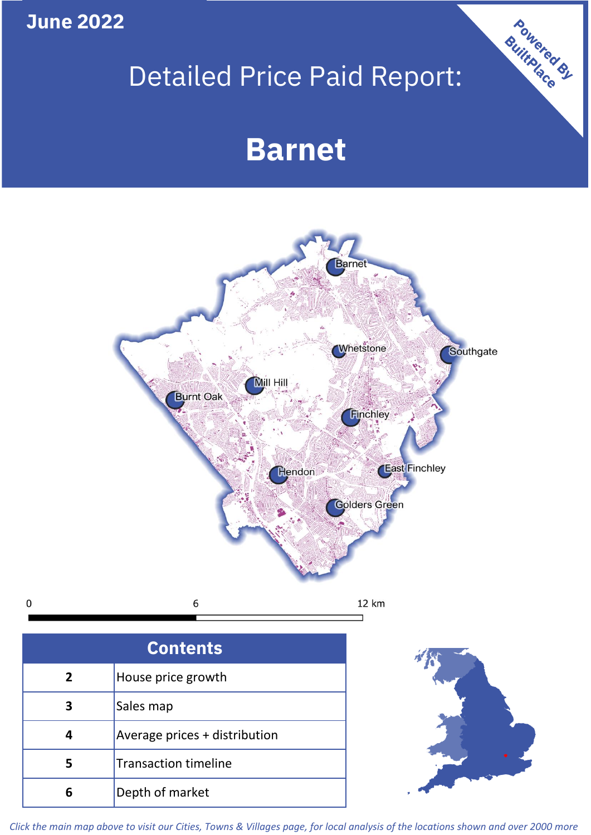**June 2022**

 $\mathbf 0$ 

# Detailed Price Paid Report:

## **Barnet**



| <b>Contents</b> |                               |  |  |
|-----------------|-------------------------------|--|--|
| 2               | House price growth            |  |  |
| 3               | Sales map                     |  |  |
|                 | Average prices + distribution |  |  |
| 5               | <b>Transaction timeline</b>   |  |  |
|                 | Depth of market               |  |  |



Powered By

*Click the main map above to visit our Cities, Towns & Villages page, for local analysis of the locations shown and over 2000 more*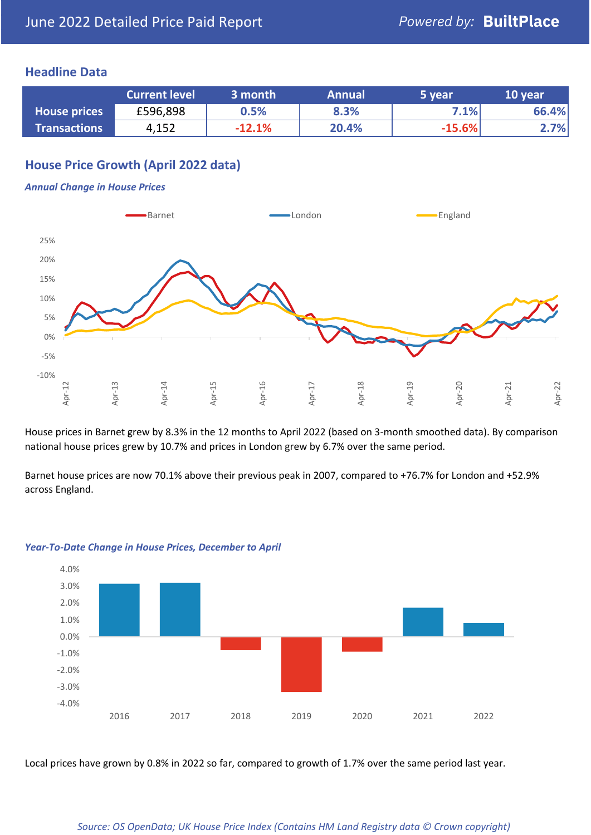## **Headline Data**

|                     | <b>Current level</b> | 3 month  | <b>Annual</b> | 5 year   | 10 year |
|---------------------|----------------------|----------|---------------|----------|---------|
| <b>House prices</b> | £596,898             | 0.5%     | 8.3%          | 7.1%     | 66.4%   |
| <b>Transactions</b> | 4,152                | $-12.1%$ | 20.4%         | $-15.6%$ | 2.7%    |

## **House Price Growth (April 2022 data)**

#### *Annual Change in House Prices*



House prices in Barnet grew by 8.3% in the 12 months to April 2022 (based on 3-month smoothed data). By comparison national house prices grew by 10.7% and prices in London grew by 6.7% over the same period.

Barnet house prices are now 70.1% above their previous peak in 2007, compared to +76.7% for London and +52.9% across England.



#### *Year-To-Date Change in House Prices, December to April*

Local prices have grown by 0.8% in 2022 so far, compared to growth of 1.7% over the same period last year.

#### *Source: OS OpenData; UK House Price Index (Contains HM Land Registry data © Crown copyright)*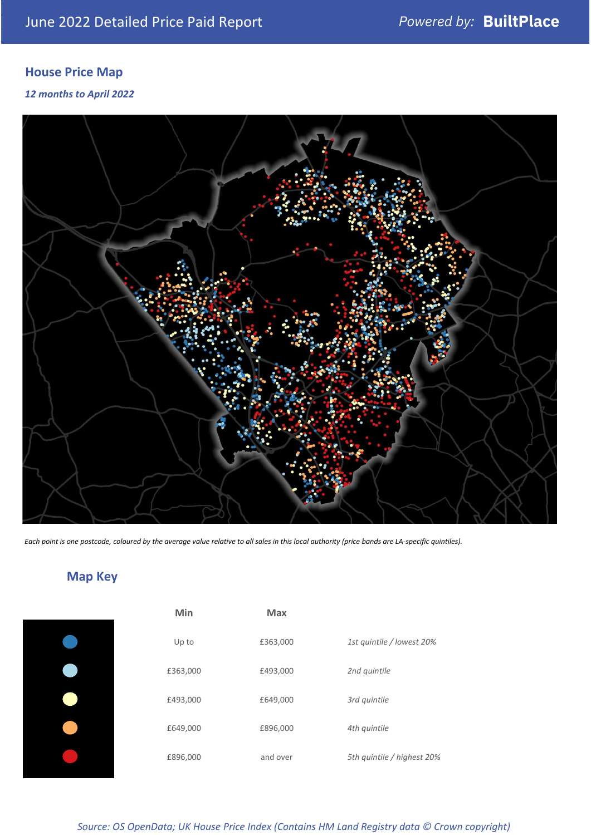## **House Price Map**

### *12 months to April 2022*



*Each point is one postcode, coloured by the average value relative to all sales in this local authority (price bands are LA-specific quintiles).*

## **Map Key**

| Min      | <b>Max</b> |                            |
|----------|------------|----------------------------|
| Up to    | £363,000   | 1st quintile / lowest 20%  |
| £363,000 | £493,000   | 2nd quintile               |
| £493,000 | £649,000   | 3rd quintile               |
| £649,000 | £896,000   | 4th quintile               |
| £896,000 | and over   | 5th quintile / highest 20% |

## *Source: OS OpenData; UK House Price Index (Contains HM Land Registry data © Crown copyright)*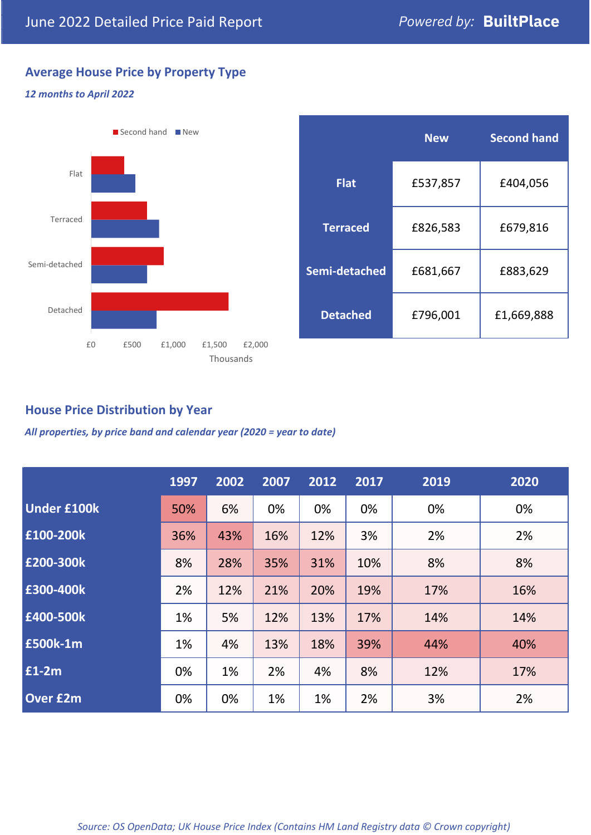## **Average House Price by Property Type**

### *12 months to April 2022*



|                 | <b>New</b> | <b>Second hand</b> |  |  |
|-----------------|------------|--------------------|--|--|
| <b>Flat</b>     | £537,857   | £404,056           |  |  |
| <b>Terraced</b> | £826,583   | £679,816           |  |  |
| Semi-detached   | £681,667   | £883,629           |  |  |
| <b>Detached</b> | £796,001   | £1,669,888         |  |  |

## **House Price Distribution by Year**

*All properties, by price band and calendar year (2020 = year to date)*

|                    | 1997 | 2002 | 2007 | 2012 | 2017 | 2019 | 2020 |
|--------------------|------|------|------|------|------|------|------|
| <b>Under £100k</b> | 50%  | 6%   | 0%   | 0%   | 0%   | 0%   | 0%   |
| £100-200k          | 36%  | 43%  | 16%  | 12%  | 3%   | 2%   | 2%   |
| E200-300k          | 8%   | 28%  | 35%  | 31%  | 10%  | 8%   | 8%   |
| £300-400k          | 2%   | 12%  | 21%  | 20%  | 19%  | 17%  | 16%  |
| £400-500k          | 1%   | 5%   | 12%  | 13%  | 17%  | 14%  | 14%  |
| <b>£500k-1m</b>    | 1%   | 4%   | 13%  | 18%  | 39%  | 44%  | 40%  |
| £1-2m              | 0%   | 1%   | 2%   | 4%   | 8%   | 12%  | 17%  |
| <b>Over £2m</b>    | 0%   | 0%   | 1%   | 1%   | 2%   | 3%   | 2%   |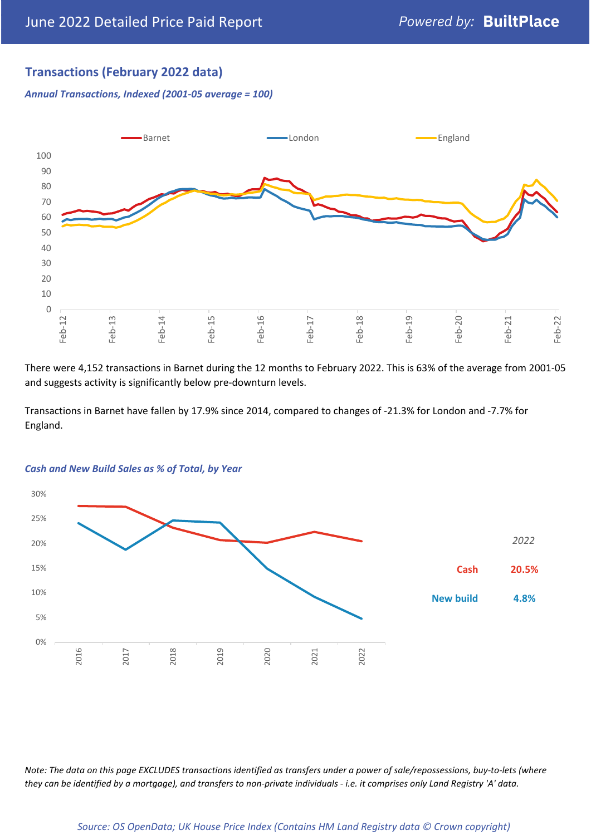## **Transactions (February 2022 data)**

*Annual Transactions, Indexed (2001-05 average = 100)*



There were 4,152 transactions in Barnet during the 12 months to February 2022. This is 63% of the average from 2001-05 and suggests activity is significantly below pre-downturn levels.

Transactions in Barnet have fallen by 17.9% since 2014, compared to changes of -21.3% for London and -7.7% for England.



#### *Cash and New Build Sales as % of Total, by Year*

*Note: The data on this page EXCLUDES transactions identified as transfers under a power of sale/repossessions, buy-to-lets (where they can be identified by a mortgage), and transfers to non-private individuals - i.e. it comprises only Land Registry 'A' data.*